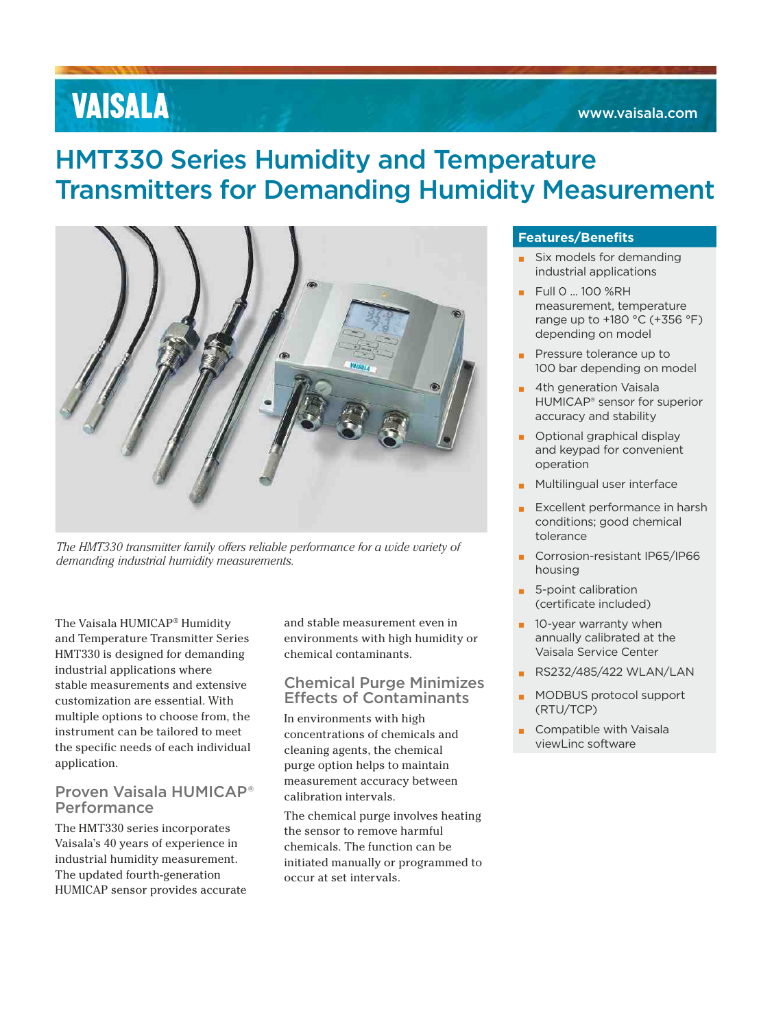# **VAISALA**

# HMT330 Series Humidity and Temperature Transmitters for Demanding Humidity Measurement



*The HMT330 transmitter family offers reliable performance for a wide variety of demanding industrial humidity measurements.*

The Vaisala HUMICAP® Humidity and Temperature Transmitter Series HMT330 is designed for demanding industrial applications where stable measurements and extensive customization are essential. With multiple options to choose from, the instrument can be tailored to meet the specific needs of each individual application.

# Proven Vaisala HUMICAP® Performance

The HMT330 series incorporates Vaisala's 40 years of experience in industrial humidity measurement. The updated fourth-generation HUMICAP sensor provides accurate and stable measurement even in environments with high humidity or chemical contaminants.

## Chemical Purge Minimizes Effects of Contaminants

In environments with high concentrations of chemicals and cleaning agents, the chemical purge option helps to maintain measurement accuracy between calibration intervals.

The chemical purge involves heating the sensor to remove harmful chemicals. The function can be initiated manually or programmed to occur at set intervals.

### **Features/Benefits**

- Six models for demanding industrial applications
- **▪** Full 0 ... 100 %RH measurement, temperature range up to +180 °C (+356 °F) depending on model
- Pressure tolerance up to 100 bar depending on model
- **4th generation Vaisala** HUMICAP® sensor for superior accuracy and stability
- **Optional graphical display** and keypad for convenient operation
- **Multilingual user interface**
- **▪** Excellent performance in harsh conditions; good chemical tolerance
- **▪** Corrosion-resistant IP65/IP66 housing
- **▪** 5-point calibration (certificate included)
- $\blacksquare$  10-year warranty when annually calibrated at the Vaisala Service Center
- **▪** RS232/485/422 WLAN/LAN
- **▪** MODBUS protocol support (RTU/TCP)
- Compatible with Vaisala viewLinc software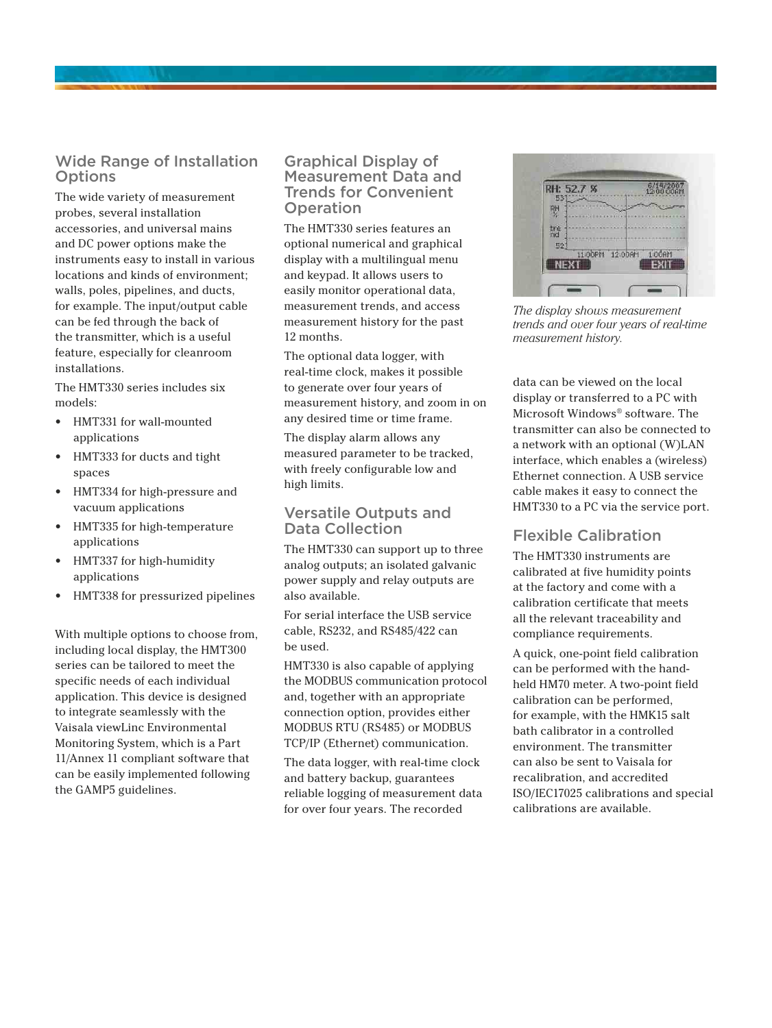# Wide Range of Installation **Options**

The wide variety of measurement probes, several installation accessories, and universal mains and DC power options make the instruments easy to install in various locations and kinds of environment; walls, poles, pipelines, and ducts, for example. The input/output cable can be fed through the back of the transmitter, which is a useful feature, especially for cleanroom installations.

The HMT330 series includes six models:

- HMT331 for wall-mounted applications
- HMT333 for ducts and tight spaces
- HMT334 for high-pressure and vacuum applications
- HMT335 for high-temperature applications
- HMT337 for high-humidity applications
- HMT338 for pressurized pipelines

With multiple options to choose from, including local display, the HMT300 series can be tailored to meet the specific needs of each individual application. This device is designed to integrate seamlessly with the Vaisala viewLinc Environmental Monitoring System, which is a Part 11/Annex 11 compliant software that can be easily implemented following the GAMP5 guidelines.

## Graphical Display of Measurement Data and Trends for Convenient Operation

The HMT330 series features an optional numerical and graphical display with a multilingual menu and keypad. It allows users to easily monitor operational data, measurement trends, and access measurement history for the past 12 months.

The optional data logger, with real-time clock, makes it possible to generate over four years of measurement history, and zoom in on any desired time or time frame.

The display alarm allows any measured parameter to be tracked, with freely configurable low and high limits.

### Versatile Outputs and Data Collection

The HMT330 can support up to three analog outputs; an isolated galvanic power supply and relay outputs are also available.

For serial interface the USB service cable, RS232, and RS485/422 can be used.

HMT330 is also capable of applying the MODBUS communication protocol and, together with an appropriate connection option, provides either MODBUS RTU (RS485) or MODBUS TCP/IP (Ethernet) communication.

The data logger, with real-time clock and battery backup, guarantees reliable logging of measurement data for over four years. The recorded



*The display shows measurement trends and over four years of real-time measurement history.*

data can be viewed on the local display or transferred to a PC with Microsoft Windows® software. The transmitter can also be connected to a network with an optional (W)LAN interface, which enables a (wireless) Ethernet connection. A USB service cable makes it easy to connect the HMT330 to a PC via the service port.

# Flexible Calibration

The HMT330 instruments are calibrated at five humidity points at the factory and come with a calibration certificate that meets all the relevant traceability and compliance requirements.

A quick, one-point field calibration can be performed with the handheld HM70 meter. A two-point field calibration can be performed, for example, with the HMK15 salt bath calibrator in a controlled environment. The transmitter can also be sent to Vaisala for recalibration, and accredited ISO/IEC17025 calibrations and special calibrations are available.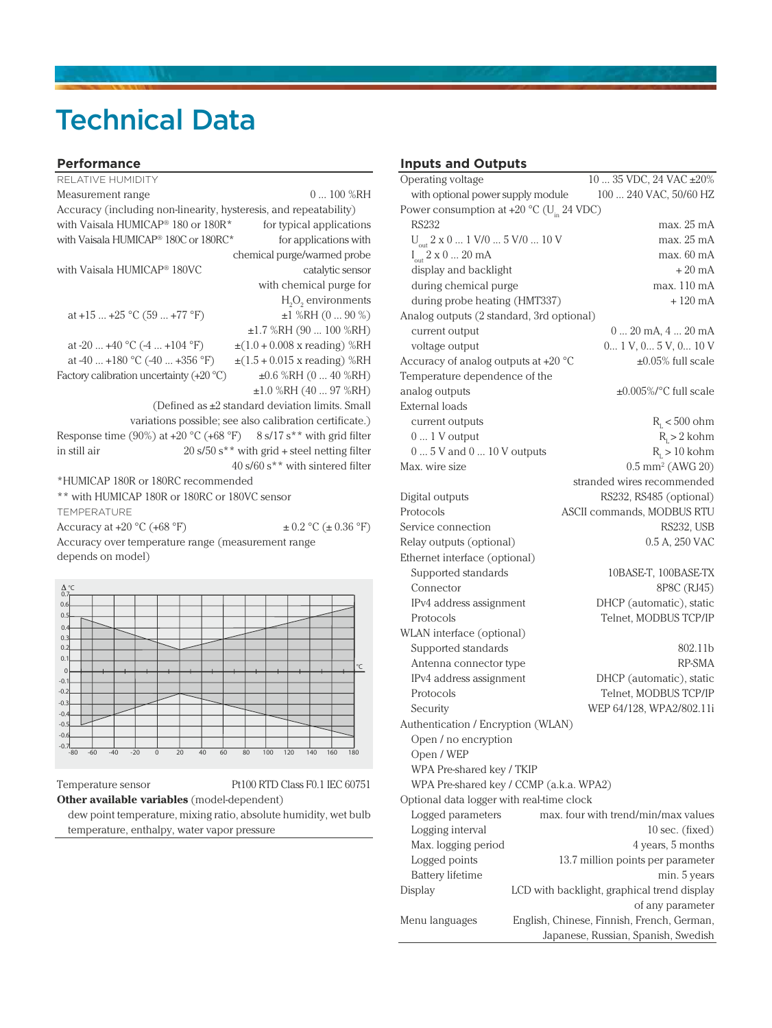# Technical Data

#### **Performance**

| RELATIVE HUMIDITY                                                  |                                                         |
|--------------------------------------------------------------------|---------------------------------------------------------|
| Measurement range                                                  | $0100\%$ RH                                             |
| Accuracy (including non-linearity, hysteresis, and repeatability)  |                                                         |
| with Vaisala HUMICAP® 180 or 180R*                                 | for typical applications                                |
| with Vaisala HUMICAP® 180C or 180RC*                               | for applications with                                   |
|                                                                    | chemical purge/warmed probe                             |
| with Vaisala HUMICAP <sup>®</sup> 180VC                            | catalytic sensor                                        |
|                                                                    | with chemical purge for                                 |
|                                                                    | $H_2O_2$ environments                                   |
| at +15  +25 $^{\circ}$ C (59  +77 $^{\circ}$ F)                    | $\pm 1$ %RH (0  90 %)                                   |
|                                                                    | $\pm 1.7$ %RH (90  100 %RH)                             |
| at -20  +40 °C (-4  +104 °F)                                       | $\pm(1.0 + 0.008 \times \text{reading})$ %RH            |
| at $-40$ $+180$ °C $(-40$ $+356$ °F)                               | $\pm(1.5 + 0.015 \times \text{reading})$ %RH            |
| Factory calibration uncertainty $(+20\degree\text{C})$             | $\pm 0.6$ %RH (0  40 %RH)                               |
|                                                                    | $\pm 1.0$ %RH (40  97 %RH)                              |
|                                                                    | (Defined as $\pm 2$ standard deviation limits. Small    |
|                                                                    | variations possible; see also calibration certificate.) |
| Response time (90%) at +20 °C (+68 °F) 8 s/17 s** with grid filter |                                                         |
| in still air                                                       | $20 s/50 s^{**}$ with grid + steel netting filter       |
|                                                                    | 40 s/60 s** with sintered filter                        |
| *HUMICAP 180R or 180RC recommended                                 |                                                         |
| ** with HUMICAP 180R or 180RC or 180VC sensor                      |                                                         |
| <b>TEMPERATURE</b>                                                 |                                                         |
| Accuracy at $+20$ °C ( $+68$ °F)                                   | $\pm 0.2$ °C ( $\pm 0.36$ °F)                           |
| Accuracy over temperature range (measurement range                 |                                                         |
| depends on model)                                                  |                                                         |
|                                                                    |                                                         |
| $rac{\Delta}{0.7}$ C                                               |                                                         |

-0.6 -0.5 -0.4  $-0.3$  $-0.2$  $0$ <br>-0.1 0.1 0.2 0.3 0.4 0.5 0.6

#### Temperature sensor Pt100 RTD Class F0.1 IEC 60751

**Other available variables** (model-dependent)

dew point temperature, mixing ratio, absolute humidity, wet bulb temperature, enthalpy, water vapor pressure

0├<del>─├─┼─┼─┼─┼─┼─┼─┼─┼─┼─┼─┼─┼─┼─┼─┼─┼</del>─┼─┼─┼─┼─<del>┼</del>

-80 -60 -40 -20 <sup>0</sup> <sup>20</sup> <sup>40</sup> <sup>60</sup> <sup>80</sup> <sup>100</sup> <sup>120</sup> <sup>140</sup> <sup>160</sup> <sup>180</sup> -0.7

# **Inputs and Outputs**

| Operating voltage                                              | 10  35 VDC, 24 VAC ±20%                     |
|----------------------------------------------------------------|---------------------------------------------|
| with optional power supply module                              | 100  240 VAC, 50/60 HZ                      |
| Power consumption at +20 $^{\circ}$ C (U <sub>in</sub> 24 VDC) |                                             |
| RS232                                                          | max. 25 mA                                  |
| $U_{\text{out}}$ 2 x 0  1 V/0  5 V/0  10 V                     | max. 25 mA                                  |
| $I_{out}$ 2 x 0 $\ldots$ 20 mA                                 | max. 60 mA                                  |
| display and backlight                                          | $+20 \text{ mA}$                            |
| during chemical purge                                          | max. 110 mA                                 |
| during probe heating (HMT337)                                  | $+120 \text{ mA}$                           |
| Analog outputs (2 standard, 3rd optional)                      |                                             |
| current output                                                 | 0  20 mA, 4  20 mA                          |
| voltage output                                                 | 0 1 V, 0 5 V, 0 10 V                        |
| Accuracy of analog outputs at +20 °C                           | $\pm 0.05\%$ full scale                     |
| Temperature dependence of the                                  |                                             |
| analog outputs                                                 | $\pm 0.005\%$ /°C full scale                |
| External loads                                                 |                                             |
| current outputs                                                | $R_{L}$ < 500 ohm                           |
| $01V$ output                                                   | $R_1 > 2$ kohm                              |
| $0 \dots 5$ V and $0 \dots 10$ V outputs                       | $R_1 > 10$ kohm                             |
| Max. wire size                                                 | 0.5 mm <sup>2</sup> (AWG 20)                |
|                                                                | stranded wires recommended                  |
| Digital outputs                                                | RS232, RS485 (optional)                     |
| Protocols                                                      | ASCII commands, MODBUS RTU                  |
| Service connection                                             | RS232, USB                                  |
| Relay outputs (optional)                                       | 0.5 A, 250 VAC                              |
| Ethernet interface (optional)                                  |                                             |
| Supported standards                                            | 10BASE-T, 100BASE-TX                        |
| Connector                                                      | 8P8C (RJ45)                                 |
| IPv4 address assignment                                        | DHCP (automatic), static                    |
| Protocols                                                      | Telnet, MODBUS TCP/IP                       |
| WLAN interface (optional)                                      |                                             |
| Supported standards                                            | 802.11b                                     |
| Antenna connector type                                         | RP-SMA                                      |
| IPv4 address assignment                                        | DHCP (automatic), static                    |
| Protocols                                                      | Telnet, MODBUS TCP/IP                       |
| Security                                                       | WEP 64/128, WPA2/802.11i                    |
| Authentication / Encryption (WLAN)                             |                                             |
| Open / no encryption                                           |                                             |
| Open / WEP                                                     |                                             |
| WPA Pre-shared key / TKIP                                      |                                             |
| WPA Pre-shared key / CCMP (a.k.a. WPA2)                        |                                             |
| Optional data logger with real-time clock                      |                                             |
| Logged parameters                                              | max. four with trend/min/max values         |
| Logging interval                                               | $10$ sec. (fixed)                           |
| Max. logging period                                            | 4 years, 5 months                           |
| Logged points                                                  | 13.7 million points per parameter           |
| <b>Battery lifetime</b>                                        | min. 5 years                                |
| Display                                                        | LCD with backlight, graphical trend display |
|                                                                | of any parameter                            |
| Menu languages                                                 | English, Chinese, Finnish, French, German,  |
|                                                                | Japanese, Russian, Spanish, Swedish         |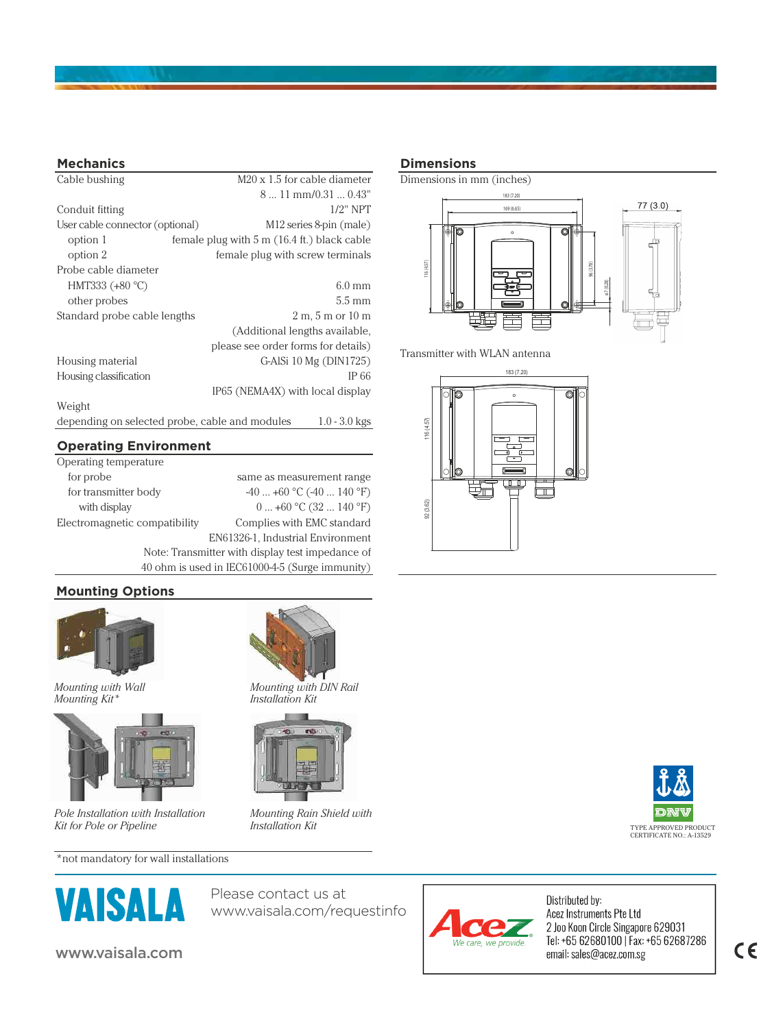

#### **Mechanics**

| Cable bushing                   | M20 x 1.5 for cable diameter                                      |
|---------------------------------|-------------------------------------------------------------------|
|                                 | $811$ mm/0.31 $$ 0.43"                                            |
| Conduit fitting                 | $1/2$ " NPT                                                       |
| User cable connector (optional) | M12 series 8-pin (male)                                           |
| option 1                        | female plug with $5 \text{ m}$ (16.4 ft.) black cable             |
| option 2                        | female plug with screw terminals                                  |
| Probe cable diameter            |                                                                   |
| HMT333 (+80 °C)                 | $6.0$ mm                                                          |
| other probes                    | $5.5 \text{ mm}$                                                  |
| Standard probe cable lengths    | $2 m$ , 5 m or 10 m                                               |
|                                 | (Additional lengths available,                                    |
|                                 | please see order forms for details)                               |
| Housing material                | G-AlSi 10 Mg (DIN1725)                                            |
| Housing classification          | IP 66                                                             |
|                                 | IP65 (NEMA4X) with local display                                  |
| Weight                          |                                                                   |
|                                 | depending on selected probe, cable and modules<br>$1.0 - 3.0$ kgs |

#### **Operating Environment**

| Operating temperature                            |                            |  |
|--------------------------------------------------|----------------------------|--|
| for probe                                        | same as measurement range  |  |
| for transmitter body                             | $-40+60$ °C $(-40140$ °F)  |  |
| with display                                     | $0+60$ °C (32  140 °F)     |  |
| Electromagnetic compatibility                    | Complies with EMC standard |  |
| EN61326-1, Industrial Environment                |                            |  |
| Note: Transmitter with display test impedance of |                            |  |
| 40 ohm is used in IEC61000-4-5 (Surge immunity)  |                            |  |

#### **Mounting Options**



*Mounting with Wall Mounting Kit\**



*Pole Installation with Installation Kit for Pole or Pipeline*

\*not mandatory for wall installations



Please contact us at www.vaisala.com/requestinfo

*Mounting Rain Shield with* 

*Mounting with DIN Rail Installation Kit*

*Installation Kit*

#### **Dimensions**



Transmitter with WLAN antenna







Distributed by: Acez Instruments Pte Ltd 2 Joo Koon Circle Singapore 629031<br>Tel: +65 62680100 | Fax: +65 62687286 email: sales@acez.com.sg

# $c\epsilon$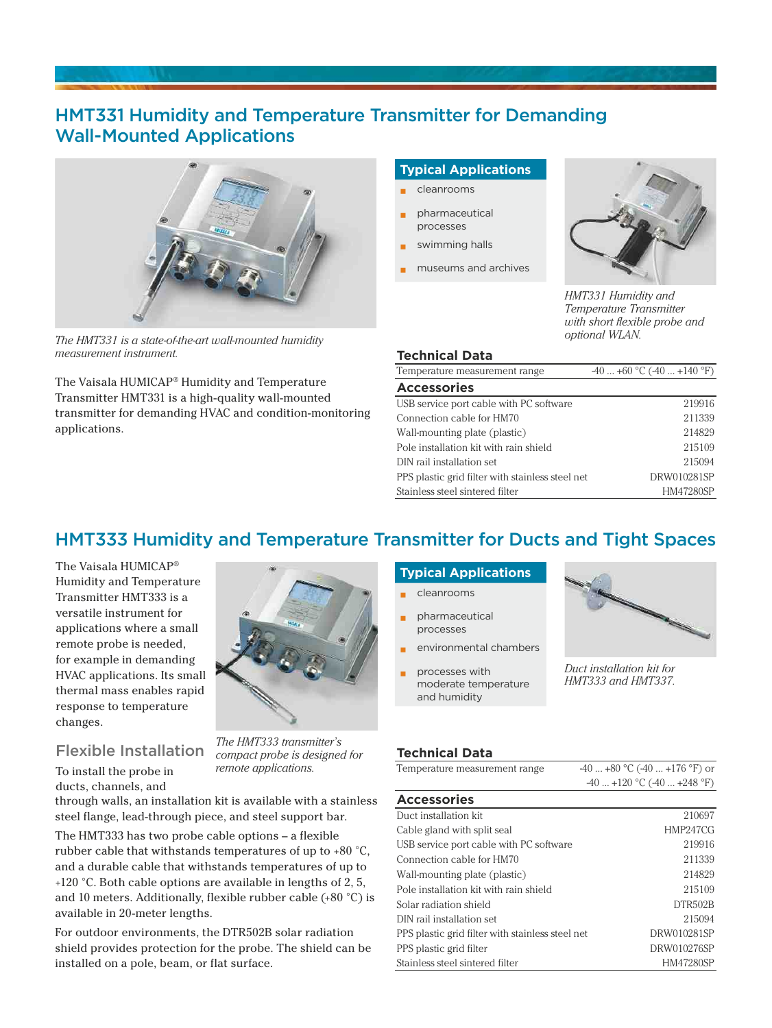# HMT331 Humidity and Temperature Transmitter for Demanding Wall-Mounted Applications



*The HMT331 is a state-of-the-art wall-mounted humidity measurement instrument.*

The Vaisala HUMICAP® Humidity and Temperature Transmitter HMT331 is a high-quality wall-mounted transmitter for demanding HVAC and condition-monitoring applications.

#### **Typical Applications**

- **▪** cleanrooms
- **▪** pharmaceutical processes
- swimming halls
- **▪** museums and archives



*HMT331 Humidity and Temperature Transmitter with short flexible probe and optional WLAN.*

#### **Technical Data**

| Temperature measurement range                    | $-40+60$ °C $(-40+140$ °F) |
|--------------------------------------------------|----------------------------|
| <b>Accessories</b>                               |                            |
| USB service port cable with PC software          | 219916                     |
| Connection cable for HM70                        | 211339                     |
| Wall-mounting plate (plastic)                    | 214829                     |
| Pole installation kit with rain shield           | 215109                     |
| DIN rail installation set                        | 215094                     |
| PPS plastic grid filter with stainless steel net | DRW010281SP                |
| Stainless steel sintered filter                  | HM47280SP                  |

# HMT333 Humidity and Temperature Transmitter for Ducts and Tight Spaces

The Vaisala HUMICAP® Humidity and Temperature Transmitter HMT333 is a versatile instrument for applications where a small remote probe is needed, for example in demanding HVAC applications. Its small thermal mass enables rapid response to temperature changes.



Flexible Installation

To install the probe in ducts, channels, and

*The HMT333 transmitter's compact probe is designed for remote applications.*

through walls, an installation kit is available with a stainless steel flange, lead-through piece, and steel support bar.

The HMT333 has two probe cable options – a flexible rubber cable that withstands temperatures of up to +80 °C, and a durable cable that withstands temperatures of up to +120 °C. Both cable options are available in lengths of 2, 5, and 10 meters. Additionally, flexible rubber cable (+80 °C) is available in 20-meter lengths.

For outdoor environments, the DTR502B solar radiation shield provides protection for the probe. The shield can be installed on a pole, beam, or flat surface.

## **Typical Applications**

- **▪** cleanrooms **▪** pharmaceutical processes
- **▪** environmental chambers
- **▪** processes with moderate temperature and humidity



*Duct installation kit for HMT333 and HMT337.*

#### **Technical Data**

| Temperature measurement range | $-40+80$ °C $(-40+176$ °F) or |
|-------------------------------|-------------------------------|
|                               | $-40+120$ °C $(-40+248$ °F)   |

| <b>Accessories</b>                               |             |
|--------------------------------------------------|-------------|
| Duct installation kit                            | 210697      |
| Cable gland with split seal                      | HMP247CG    |
| USB service port cable with PC software          | 219916      |
| Connection cable for HM70                        | 211339      |
| Wall-mounting plate (plastic)                    | 214829      |
| Pole installation kit with rain shield           | 215109      |
| Solar radiation shield                           | DTR502B     |
| DIN rail installation set                        | 215094      |
| PPS plastic grid filter with stainless steel net | DRW010281SP |
| PPS plastic grid filter                          | DRW010276SP |
| Stainless steel sintered filter                  | HM47280SP   |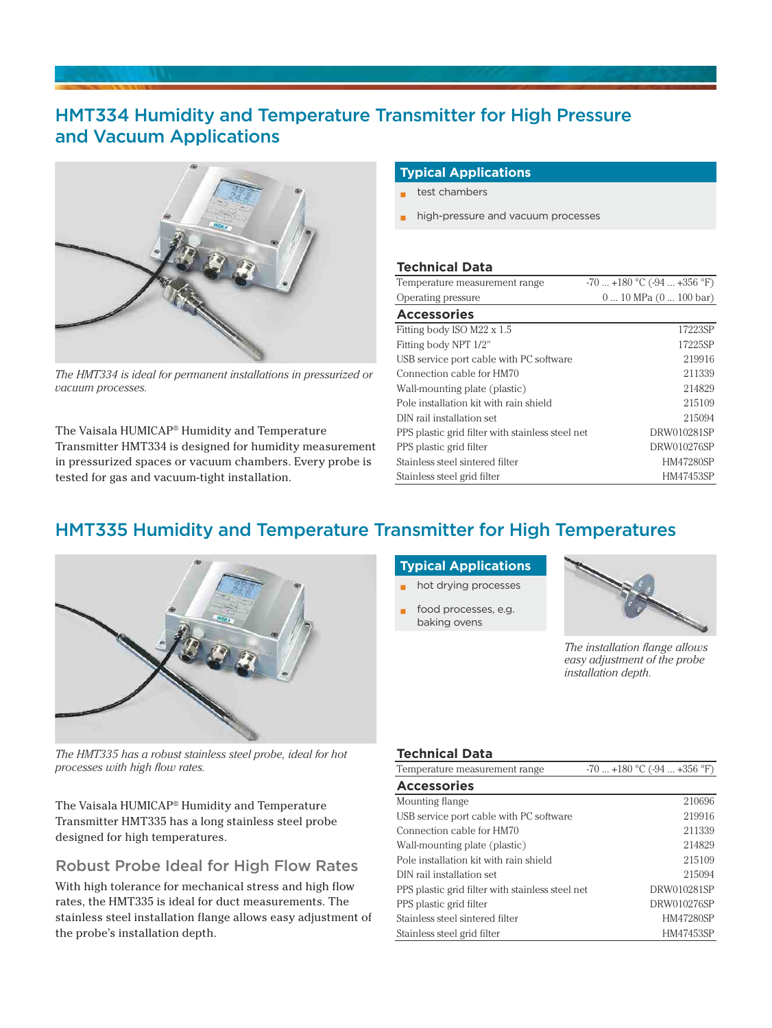# HMT334 Humidity and Temperature Transmitter for High Pressure and Vacuum Applications



*The HMT334 is ideal for permanent installations in pressurized or vacuum processes.*

The Vaisala HUMICAP® Humidity and Temperature Transmitter HMT334 is designed for humidity measurement in pressurized spaces or vacuum chambers. Every probe is tested for gas and vacuum-tight installation.

#### **Typical Applications**

- **▪** test chambers
- **▪** high-pressure and vacuum processes

#### **Technical Data**

| Temperature measurement range                    | $-70+180$ °C ( $-94+356$ °F) |
|--------------------------------------------------|------------------------------|
| Operating pressure                               | $010$ MPa $(0100$ bar)       |
| <b>Accessories</b>                               |                              |
| Fitting body ISO M22 x 1.5                       | 17223SP                      |
| Fitting body NPT 1/2"                            | 17225SP                      |
| USB service port cable with PC software          | 219916                       |
| Connection cable for HM70                        | 211339                       |
| Wall-mounting plate (plastic)                    | 214829                       |
| Pole installation kit with rain shield           | 215109                       |
| DIN rail installation set                        | 215094                       |
| PPS plastic grid filter with stainless steel net | DRW010281SP                  |
| PPS plastic grid filter                          | DRW010276SP                  |
| Stainless steel sintered filter                  | <b>HM47280SP</b>             |
| Stainless steel grid filter                      | HM47453SP                    |

# HMT335 Humidity and Temperature Transmitter for High Temperatures



*The HMT335 has a robust stainless steel probe, ideal for hot processes with high flow rates.*

The Vaisala HUMICAP® Humidity and Temperature Transmitter HMT335 has a long stainless steel probe designed for high temperatures.

# Robust Probe Ideal for High Flow Rates

With high tolerance for mechanical stress and high flow rates, the HMT335 is ideal for duct measurements. The stainless steel installation flange allows easy adjustment of the probe's installation depth.

#### **Typical Applications**

- **▪** hot drying processes
- food processes, e.g. baking ovens



*The installation flange allows easy adjustment of the probe installation depth.*

#### **Technical Data**

| Temperature measurement range                    | $-70$ $+180$ °C ( $-94$ $+356$ °F) |
|--------------------------------------------------|------------------------------------|
| <b>Accessories</b>                               |                                    |
| Mounting flange                                  | 210696                             |
| USB service port cable with PC software          | 219916                             |
| Connection cable for HM70                        | 211339                             |
| Wall-mounting plate (plastic)                    | 214829                             |
| Pole installation kit with rain shield           | 215109                             |
| DIN rail installation set                        | 215094                             |
| PPS plastic grid filter with stainless steel net | DRW010281SP                        |
| PPS plastic grid filter                          | DRW010276SP                        |
| Stainless steel sintered filter                  | HM47280SP                          |
| Stainless steel grid filter                      | HM47453SP                          |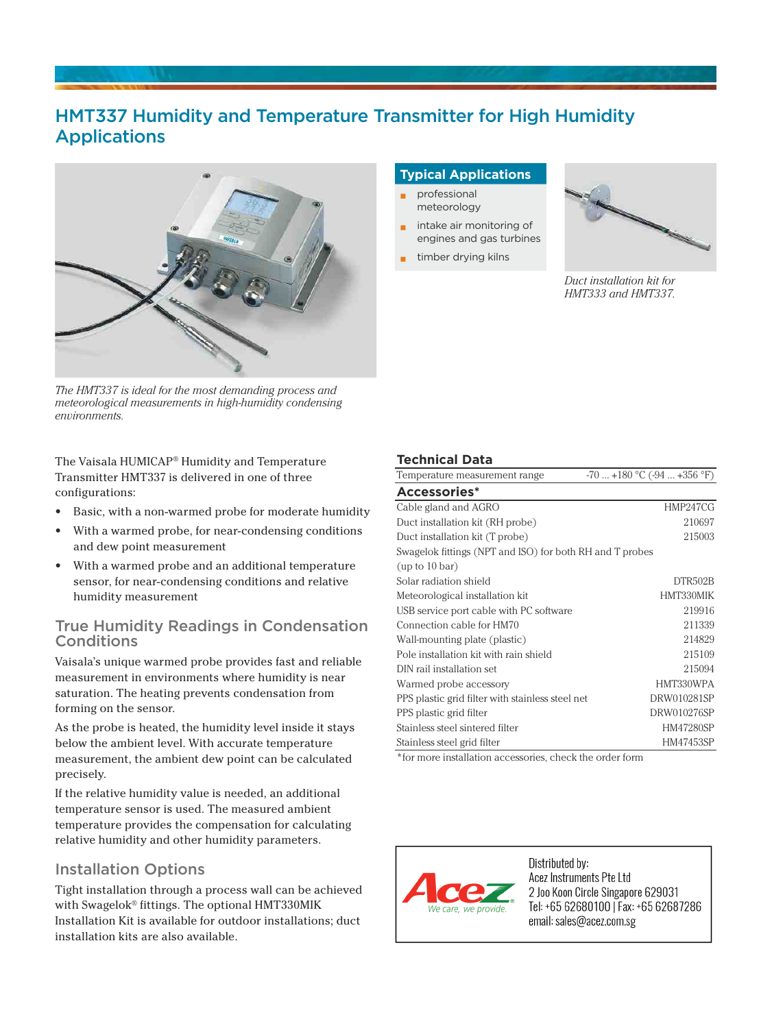# HMT337 Humidity and Temperature Transmitter for High Humidity Applications



*The HMT337 is ideal for the most demanding process and meteorological measurements in high-humidity condensing environments.*

The Vaisala HUMICAP® Humidity and Temperature Transmitter HMT337 is delivered in one of three configurations:

- Basic, with a non-warmed probe for moderate humidity
- With a warmed probe, for near-condensing conditions and dew point measurement
- With a warmed probe and an additional temperature sensor, for near-condensing conditions and relative humidity measurement

# True Humidity Readings in Condensation Conditions

Vaisala's unique warmed probe provides fast and reliable measurement in environments where humidity is near saturation. The heating prevents condensation from forming on the sensor.

As the probe is heated, the humidity level inside it stays below the ambient level. With accurate temperature measurement, the ambient dew point can be calculated precisely.

If the relative humidity value is needed, an additional temperature sensor is used. The measured ambient temperature provides the compensation for calculating relative humidity and other humidity parameters.

# Installation Options

Tight installation through a process wall can be achieved with Swagelok® fittings. The optional HMT330MIK Installation Kit is available for outdoor installations; duct installation kits are also available.

### **Typical Applications**

- **▪** professional meteorology
- **▪** intake air monitoring of engines and gas turbines
	- **▪** timber drying kilns



*Duct installation kit for HMT333 and HMT337.* 

### **Technical Data**

| Temperature measurement range                            | -70  +180 °C (-94  +356 °F) |
|----------------------------------------------------------|-----------------------------|
| Accessories*                                             |                             |
| Cable gland and AGRO                                     | HMP247CG                    |
| Duct installation kit (RH probe)                         | 210697                      |
| Duct installation kit (T probe)                          | 215003                      |
| Swagelok fittings (NPT and ISO) for both RH and T probes |                             |
| (up to 10 bar)                                           |                             |
| Solar radiation shield                                   | DTR502B                     |
| Meteorological installation kit                          | HMT330MIK                   |
| USB service port cable with PC software                  | 219916                      |
| Connection cable for HM70                                | 211339                      |
| Wall-mounting plate (plastic)                            | 214829                      |
| Pole installation kit with rain shield                   | 215109                      |
| DIN rail installation set                                | 215094                      |
| Warmed probe accessory                                   | HMT330WPA                   |
| PPS plastic grid filter with stainless steel net         | DRW010281SP                 |
| PPS plastic grid filter                                  | DRW010276SP                 |
| Stainless steel sintered filter                          | HM47280SP                   |
| Stainless steel grid filter                              | HM47453SP                   |
|                                                          |                             |

\*for more installation accessories, check the order form



Distributed by: Acez Instruments Pte Ltd 2 Joo Koon Circle Singapore 629031 Tel: +65 62680100 | Fax: +65 62687286 email: sales@acez.com.sg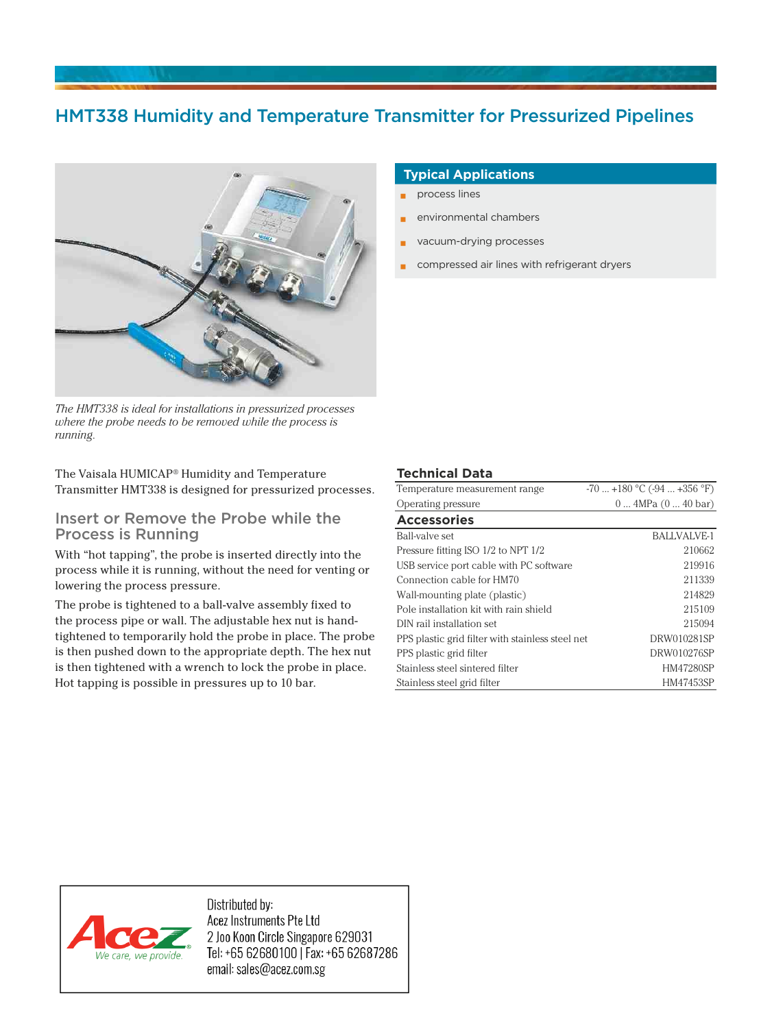# HMT338 Humidity and Temperature Transmitter for Pressurized Pipelines



*The HMT338 is ideal for installations in pressurized processes where the probe needs to be removed while the process is running.*

The Vaisala HUMICAP® Humidity and Temperature Transmitter HMT338 is designed for pressurized processes.

### Insert or Remove the Probe while the Process is Running

With "hot tapping", the probe is inserted directly into the process while it is running, without the need for venting or lowering the process pressure.

The probe is tightened to a ball-valve assembly fixed to the process pipe or wall. The adjustable hex nut is handtightened to temporarily hold the probe in place. The probe is then pushed down to the appropriate depth. The hex nut is then tightened with a wrench to lock the probe in place. Hot tapping is possible in pressures up to 10 bar.

#### **Typical Applications**

- **▪** process lines
- **▪** environmental chambers
- **▪** vacuum-drying processes
- compressed air lines with refrigerant dryers

#### **Technical Data**

| Temperature measurement range                    | $-70$ $+180$ °C ( $-94$ $+356$ °F) |
|--------------------------------------------------|------------------------------------|
| Operating pressure                               | $0 \dots 4MPa (0 \dots 40 bar)$    |
| <b>Accessories</b>                               |                                    |
| Ball-valve set                                   | BALLVALVE-1                        |
| Pressure fitting ISO 1/2 to NPT 1/2              | 210662                             |
| USB service port cable with PC software          | 219916                             |
| Connection cable for HM70                        | 211339                             |
| Wall-mounting plate (plastic)                    | 214829                             |
| Pole installation kit with rain shield           | 215109                             |
| DIN rail installation set                        | 215094                             |
| PPS plastic grid filter with stainless steel net | DRW010281SP                        |
| PPS plastic grid filter                          | DRW010276SP                        |
| Stainless steel sintered filter                  | HM47280SP                          |
| Stainless steel grid filter                      | HM47453SP                          |



Distributed by: Acez Instruments Pte Ltd 2 Joo Koon Circle Singapore 629031 Tel: +65 62680100 | Fax: +65 62687286 email: sales@acez.com.sg